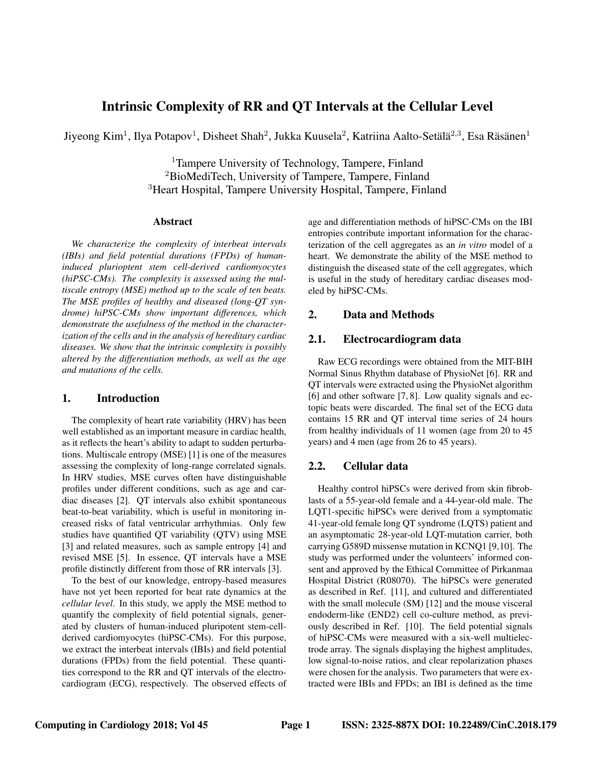# Intrinsic Complexity of RR and QT Intervals at the Cellular Level

Jiyeong Kim<sup>1</sup>, Ilya Potapov<sup>1</sup>, Disheet Shah<sup>2</sup>, Jukka Kuusela<sup>2</sup>, Katriina Aalto-Setälä<sup>2,3</sup>, Esa Räsänen<sup>1</sup>

<sup>1</sup>Tampere University of Technology, Tampere, Finland <sup>2</sup>BioMediTech, University of Tampere, Tampere, Finland <sup>3</sup>Heart Hospital, Tampere University Hospital, Tampere, Finland

#### Abstract

*We characterize the complexity of interbeat intervals (IBIs) and field potential durations (FPDs) of humaninduced plurioptent stem cell-derived cardiomyocytes (hiPSC-CMs). The complexity is assessed using the multiscale entropy (MSE) method up to the scale of ten beats. The MSE profiles of healthy and diseased (long-QT syndrome) hiPSC-CMs show important differences, which demonstrate the usefulness of the method in the characterization of the cells and in the analysis of hereditary cardiac diseases. We show that the intrinsic complexity is possibly altered by the differentiation methods, as well as the age and mutations of the cells.*

# 1. Introduction

The complexity of heart rate variability (HRV) has been well established as an important measure in cardiac health, as it reflects the heart's ability to adapt to sudden perturbations. Multiscale entropy (MSE) [1] is one of the measures assessing the complexity of long-range correlated signals. In HRV studies, MSE curves often have distinguishable profiles under different conditions, such as age and cardiac diseases [2]. QT intervals also exhibit spontaneous beat-to-beat variability, which is useful in monitoring increased risks of fatal ventricular arrhythmias. Only few studies have quantified QT variability (QTV) using MSE [3] and related measures, such as sample entropy [4] and revised MSE [5]. In essence, QT intervals have a MSE profile distinctly different from those of RR intervals [3].

To the best of our knowledge, entropy-based measures have not yet been reported for beat rate dynamics at the *cellular level*. In this study, we apply the MSE method to quantify the complexity of field potential signals, generated by clusters of human-induced pluripotent stem-cellderived cardiomyocytes (hiPSC-CMs). For this purpose, we extract the interbeat intervals (IBIs) and field potential durations (FPDs) from the field potential. These quantities correspond to the RR and QT intervals of the electrocardiogram (ECG), respectively. The observed effects of age and differentiation methods of hiPSC-CMs on the IBI entropies contribute important information for the characterization of the cell aggregates as an *in vitro* model of a heart. We demonstrate the ability of the MSE method to distinguish the diseased state of the cell aggregates, which is useful in the study of hereditary cardiac diseases modeled by hiPSC-CMs.

## 2. Data and Methods

#### 2.1. Electrocardiogram data

Raw ECG recordings were obtained from the MIT-BIH Normal Sinus Rhythm database of PhysioNet [6]. RR and QT intervals were extracted using the PhysioNet algorithm [6] and other software [7, 8]. Low quality signals and ectopic beats were discarded. The final set of the ECG data contains 15 RR and QT interval time series of 24 hours from healthy individuals of 11 women (age from 20 to 45 years) and 4 men (age from 26 to 45 years).

### 2.2. Cellular data

Healthy control hiPSCs were derived from skin fibroblasts of a 55-year-old female and a 44-year-old male. The LQT1-specific hiPSCs were derived from a symptomatic 41-year-old female long QT syndrome (LQTS) patient and an asymptomatic 28-year-old LQT-mutation carrier, both carrying G589D missense mutation in KCNQ1 [9,10]. The study was performed under the volunteers' informed consent and approved by the Ethical Committee of Pirkanmaa Hospital District (R08070). The hiPSCs were generated as described in Ref. [11], and cultured and differentiated with the small molecule (SM) [12] and the mouse visceral endoderm-like (END2) cell co-culture method, as previously described in Ref. [10]. The field potential signals of hiPSC-CMs were measured with a six-well multielectrode array. The signals displaying the highest amplitudes, low signal-to-noise ratios, and clear repolarization phases were chosen for the analysis. Two parameters that were extracted were IBIs and FPDs; an IBI is defined as the time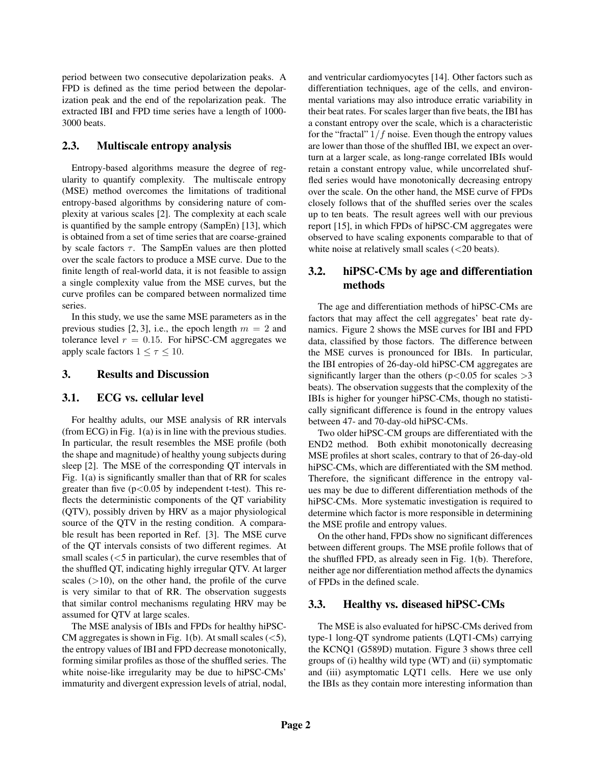period between two consecutive depolarization peaks. A FPD is defined as the time period between the depolarization peak and the end of the repolarization peak. The extracted IBI and FPD time series have a length of 1000- 3000 beats.

# 2.3. Multiscale entropy analysis

Entropy-based algorithms measure the degree of regularity to quantify complexity. The multiscale entropy (MSE) method overcomes the limitations of traditional entropy-based algorithms by considering nature of complexity at various scales [2]. The complexity at each scale is quantified by the sample entropy (SampEn) [13], which is obtained from a set of time series that are coarse-grained by scale factors  $\tau$ . The SampEn values are then plotted over the scale factors to produce a MSE curve. Due to the finite length of real-world data, it is not feasible to assign a single complexity value from the MSE curves, but the curve profiles can be compared between normalized time series.

In this study, we use the same MSE parameters as in the previous studies [2, 3], i.e., the epoch length  $m = 2$  and tolerance level  $r = 0.15$ . For hiPSC-CM aggregates we apply scale factors  $1 \leq \tau \leq 10$ .

#### 3. Results and Discussion

### 3.1. ECG vs. cellular level

For healthy adults, our MSE analysis of RR intervals (from ECG) in Fig. 1(a) is in line with the previous studies. In particular, the result resembles the MSE profile (both the shape and magnitude) of healthy young subjects during sleep [2]. The MSE of the corresponding QT intervals in Fig. 1(a) is significantly smaller than that of RR for scales greater than five  $(p<0.05$  by independent t-test). This reflects the deterministic components of the QT variability (QTV), possibly driven by HRV as a major physiological source of the QTV in the resting condition. A comparable result has been reported in Ref. [3]. The MSE curve of the QT intervals consists of two different regimes. At small scales  $(<5$  in particular), the curve resembles that of the shuffled QT, indicating highly irregular QTV. At larger scales  $(>10)$ , on the other hand, the profile of the curve is very similar to that of RR. The observation suggests that similar control mechanisms regulating HRV may be assumed for QTV at large scales.

The MSE analysis of IBIs and FPDs for healthy hiPSC-CM aggregates is shown in Fig. 1(b). At small scales  $(<5)$ , the entropy values of IBI and FPD decrease monotonically, forming similar profiles as those of the shuffled series. The white noise-like irregularity may be due to hiPSC-CMs' immaturity and divergent expression levels of atrial, nodal, and ventricular cardiomyocytes [14]. Other factors such as differentiation techniques, age of the cells, and environmental variations may also introduce erratic variability in their beat rates. For scales larger than five beats, the IBI has a constant entropy over the scale, which is a characteristic for the "fractal"  $1/f$  noise. Even though the entropy values are lower than those of the shuffled IBI, we expect an overturn at a larger scale, as long-range correlated IBIs would retain a constant entropy value, while uncorrelated shuffled series would have monotonically decreasing entropy over the scale. On the other hand, the MSE curve of FPDs closely follows that of the shuffled series over the scales up to ten beats. The result agrees well with our previous report [15], in which FPDs of hiPSC-CM aggregates were observed to have scaling exponents comparable to that of white noise at relatively small scales (<20 beats).

# 3.2. hiPSC-CMs by age and differentiation methods

The age and differentiation methods of hiPSC-CMs are factors that may affect the cell aggregates' beat rate dynamics. Figure 2 shows the MSE curves for IBI and FPD data, classified by those factors. The difference between the MSE curves is pronounced for IBIs. In particular, the IBI entropies of 26-day-old hiPSC-CM aggregates are significantly larger than the others ( $p < 0.05$  for scales  $> 3$ beats). The observation suggests that the complexity of the IBIs is higher for younger hiPSC-CMs, though no statistically significant difference is found in the entropy values between 47- and 70-day-old hiPSC-CMs.

Two older hiPSC-CM groups are differentiated with the END2 method. Both exhibit monotonically decreasing MSE profiles at short scales, contrary to that of 26-day-old hiPSC-CMs, which are differentiated with the SM method. Therefore, the significant difference in the entropy values may be due to different differentiation methods of the hiPSC-CMs. More systematic investigation is required to determine which factor is more responsible in determining the MSE profile and entropy values.

On the other hand, FPDs show no significant differences between different groups. The MSE profile follows that of the shuffled FPD, as already seen in Fig. 1(b). Therefore, neither age nor differentiation method affects the dynamics of FPDs in the defined scale.

#### 3.3. Healthy vs. diseased hiPSC-CMs

The MSE is also evaluated for hiPSC-CMs derived from type-1 long-QT syndrome patients (LQT1-CMs) carrying the KCNQ1 (G589D) mutation. Figure 3 shows three cell groups of (i) healthy wild type (WT) and (ii) symptomatic and (iii) asymptomatic LQT1 cells. Here we use only the IBIs as they contain more interesting information than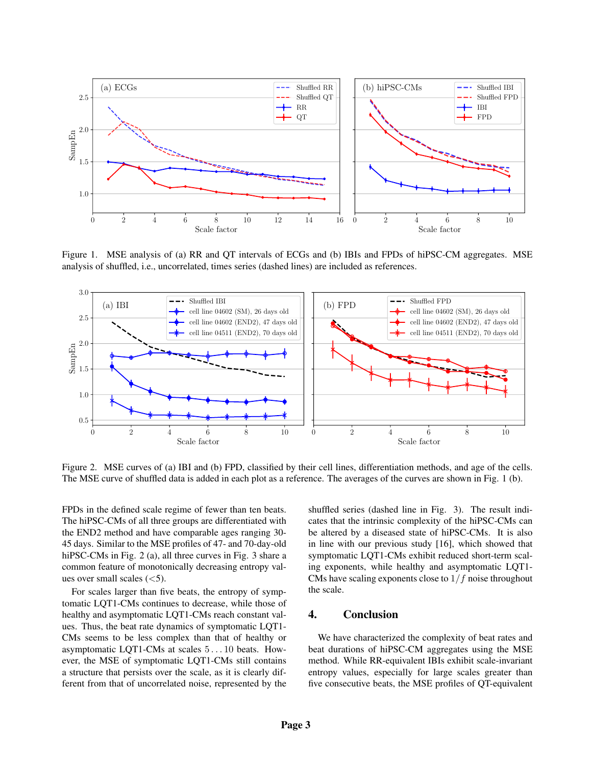

Figure 1. MSE analysis of (a) RR and QT intervals of ECGs and (b) IBIs and FPDs of hiPSC-CM aggregates. MSE analysis of shuffled, i.e., uncorrelated, times series (dashed lines) are included as references.



Figure 2. MSE curves of (a) IBI and (b) FPD, classified by their cell lines, differentiation methods, and age of the cells. The MSE curve of shuffled data is added in each plot as a reference. The averages of the curves are shown in Fig. 1 (b).

FPDs in the defined scale regime of fewer than ten beats. The hiPSC-CMs of all three groups are differentiated with the END2 method and have comparable ages ranging 30- 45 days. Similar to the MSE profiles of 47- and 70-day-old hiPSC-CMs in Fig. 2 (a), all three curves in Fig. 3 share a common feature of monotonically decreasing entropy values over small scales  $(<5)$ .

For scales larger than five beats, the entropy of symptomatic LQT1-CMs continues to decrease, while those of healthy and asymptomatic LQT1-CMs reach constant values. Thus, the beat rate dynamics of symptomatic LQT1- CMs seems to be less complex than that of healthy or asymptomatic LQT1-CMs at scales 5 . . . 10 beats. However, the MSE of symptomatic LQT1-CMs still contains a structure that persists over the scale, as it is clearly different from that of uncorrelated noise, represented by the shuffled series (dashed line in Fig. 3). The result indicates that the intrinsic complexity of the hiPSC-CMs can be altered by a diseased state of hiPSC-CMs. It is also in line with our previous study [16], which showed that symptomatic LQT1-CMs exhibit reduced short-term scaling exponents, while healthy and asymptomatic LQT1- CMs have scaling exponents close to  $1/f$  noise throughout the scale.

#### 4. Conclusion

We have characterized the complexity of beat rates and beat durations of hiPSC-CM aggregates using the MSE method. While RR-equivalent IBIs exhibit scale-invariant entropy values, especially for large scales greater than five consecutive beats, the MSE profiles of QT-equivalent